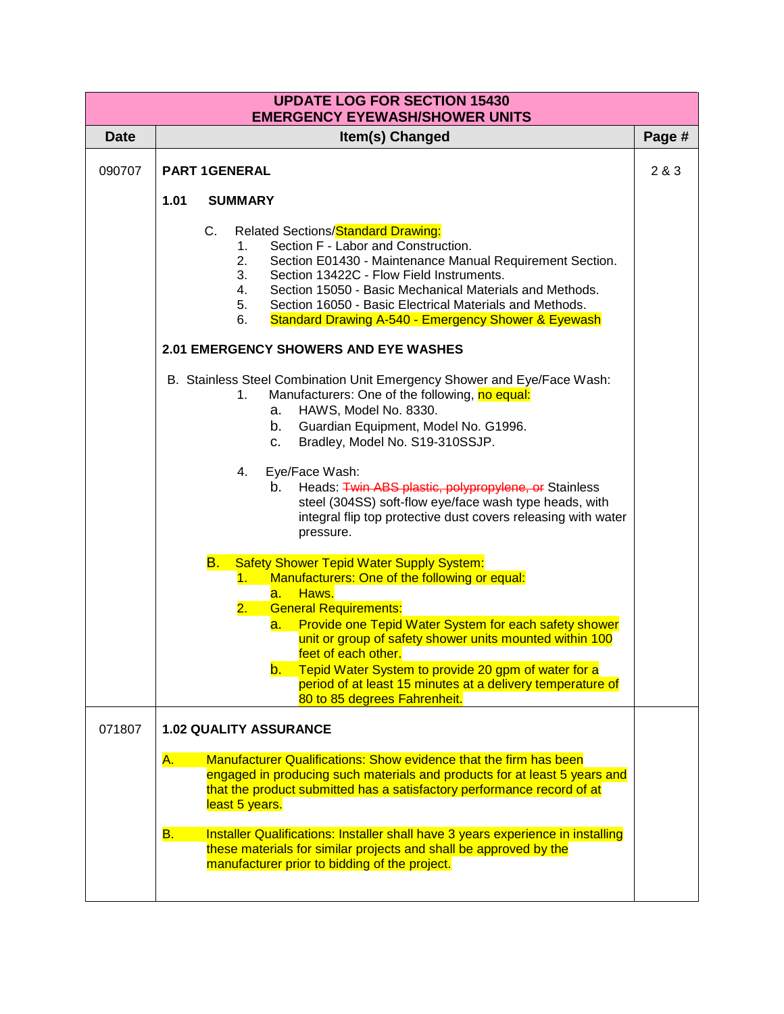| <b>UPDATE LOG FOR SECTION 15430</b><br><b>EMERGENCY EYEWASH/SHOWER UNITS</b> |                                                                                                                                                                                                                                                                                                                                                                                                                                 |        |  |  |  |
|------------------------------------------------------------------------------|---------------------------------------------------------------------------------------------------------------------------------------------------------------------------------------------------------------------------------------------------------------------------------------------------------------------------------------------------------------------------------------------------------------------------------|--------|--|--|--|
| <b>Date</b>                                                                  | Item(s) Changed                                                                                                                                                                                                                                                                                                                                                                                                                 | Page # |  |  |  |
| 090707                                                                       | <b>PART 1GENERAL</b>                                                                                                                                                                                                                                                                                                                                                                                                            | 2 & 3  |  |  |  |
|                                                                              | 1.01<br><b>SUMMARY</b>                                                                                                                                                                                                                                                                                                                                                                                                          |        |  |  |  |
|                                                                              | <b>Related Sections/Standard Drawing:</b><br>$C_{-}$<br>Section F - Labor and Construction.<br>1.<br>2.<br>Section E01430 - Maintenance Manual Requirement Section.<br>3.<br>Section 13422C - Flow Field Instruments.<br>Section 15050 - Basic Mechanical Materials and Methods.<br>4.<br>Section 16050 - Basic Electrical Materials and Methods.<br>5.<br><b>Standard Drawing A-540 - Emergency Shower &amp; Eyewash</b><br>6. |        |  |  |  |
|                                                                              | <b>2.01 EMERGENCY SHOWERS AND EYE WASHES</b>                                                                                                                                                                                                                                                                                                                                                                                    |        |  |  |  |
|                                                                              | B. Stainless Steel Combination Unit Emergency Shower and Eye/Face Wash:<br>Manufacturers: One of the following, no equal:<br>1.<br>HAWS, Model No. 8330.<br>a.<br>b.<br>Guardian Equipment, Model No. G1996.<br>Bradley, Model No. S19-310SSJP.<br>c.                                                                                                                                                                           |        |  |  |  |
|                                                                              | Eye/Face Wash:<br>4.<br>Heads: Twin ABS plastic, polypropylene, or Stainless<br>b.<br>steel (304SS) soft-flow eye/face wash type heads, with<br>integral flip top protective dust covers releasing with water<br>pressure.                                                                                                                                                                                                      |        |  |  |  |
|                                                                              | <b>Safety Shower Tepid Water Supply System:</b><br><u>B. </u><br>Manufacturers: One of the following or equal:<br>1.<br>Haws.<br>а.<br><b>General Requirements:</b><br>2.                                                                                                                                                                                                                                                       |        |  |  |  |
|                                                                              | Provide one Tepid Water System for each safety shower<br><mark>a. .</mark><br>unit or group of safety shower units mounted within 100<br>feet of each other.<br>b. Tepid Water System to provide 20 gpm of water for a<br>period of at least 15 minutes at a delivery temperature of                                                                                                                                            |        |  |  |  |
| 071807                                                                       | 80 to 85 degrees Fahrenheit.<br><b>1.02 QUALITY ASSURANCE</b>                                                                                                                                                                                                                                                                                                                                                                   |        |  |  |  |
|                                                                              | <b>Manufacturer Qualifications: Show evidence that the firm has been</b>                                                                                                                                                                                                                                                                                                                                                        |        |  |  |  |
|                                                                              | A.<br>engaged in producing such materials and products for at least 5 years and<br>that the product submitted has a satisfactory performance record of at<br>least 5 years.                                                                                                                                                                                                                                                     |        |  |  |  |
|                                                                              | Installer Qualifications: Installer shall have 3 years experience in installing<br><b>B.</b><br>these materials for similar projects and shall be approved by the<br>manufacturer prior to bidding of the project.                                                                                                                                                                                                              |        |  |  |  |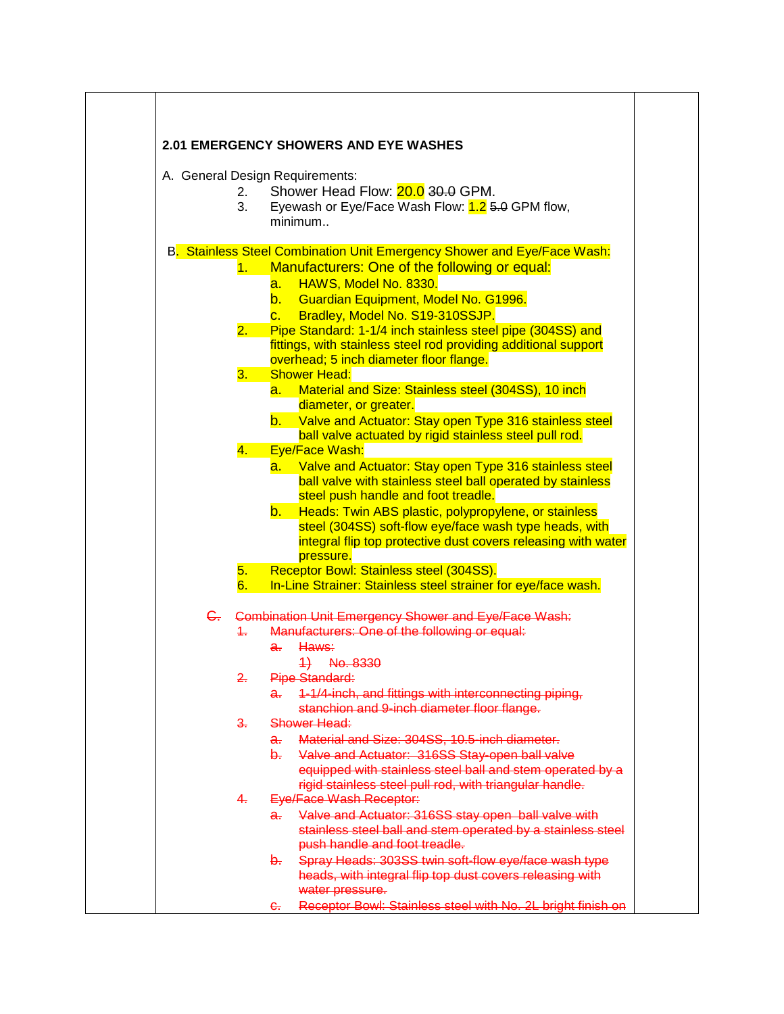|                | <b>2.01 EMERGENCY SHOWERS AND EYE WASHES</b>                                                                            |
|----------------|-------------------------------------------------------------------------------------------------------------------------|
|                | A. General Design Requirements:                                                                                         |
| 2.             | Shower Head Flow: 20.0 30.0 GPM.                                                                                        |
| 3.             | Eyewash or Eye/Face Wash Flow: 1.2 5.0 GPM flow,                                                                        |
|                | minimum                                                                                                                 |
|                | B. Stainless Steel Combination Unit Emergency Shower and Eye/Face Wash:                                                 |
| 1.             | Manufacturers: One of the following or equal:                                                                           |
|                | HAWS, Model No. 8330.<br>а.                                                                                             |
|                | b. Guardian Equipment, Model No. G1996.                                                                                 |
|                | Bradley, Model No. S19-310SSJP.<br>$\overline{\mathbf{C}}$ .                                                            |
| 2.             | Pipe Standard: 1-1/4 inch stainless steel pipe (304SS) and                                                              |
|                | fittings, with stainless steel rod providing additional support                                                         |
| 3.             | overhead; 5 inch diameter floor flange.<br><b>Shower Head:</b>                                                          |
|                | a. Material and Size: Stainless steel (304SS), 10 inch                                                                  |
|                | diameter, or greater.                                                                                                   |
|                | b. Valve and Actuator: Stay open Type 316 stainless steel                                                               |
|                | ball valve actuated by rigid stainless steel pull rod.                                                                  |
| 4.             | Eye/Face Wash:                                                                                                          |
|                | a. Valve and Actuator: Stay open Type 316 stainless steel                                                               |
|                | ball valve with stainless steel ball operated by stainless                                                              |
|                | steel push handle and foot treadle.                                                                                     |
|                | $\mathsf{b}$ .<br>Heads: Twin ABS plastic, polypropylene, or stainless                                                  |
|                | steel (304SS) soft-flow eye/face wash type heads, with<br>integral flip top protective dust covers releasing with water |
|                | pressure.                                                                                                               |
| 5.             | Receptor Bowl: Stainless steel (304SS).                                                                                 |
| 6.             | In-Line Strainer: Stainless steel strainer for eye/face wash.                                                           |
|                | C. Combination Unit Emergency Shower and Eye/Face Wash:                                                                 |
| $+$            | Manufacturers: One of the following or equal:                                                                           |
|                | Haws:<br>a.                                                                                                             |
|                | 4) No. 8330                                                                                                             |
| $2 -$          | Pipe Standard:                                                                                                          |
|                | 1-1/4-inch, and fittings with interconnecting piping,<br>a.                                                             |
|                | stanchion and 9-inch diameter floor flange.                                                                             |
| ୫.             | Shower Head:                                                                                                            |
|                | Material and Size: 304SS, 10.5-inch diameter.<br>a.                                                                     |
|                | Valve and Actuator: 316SS Stay-open ball valve<br>b.                                                                    |
|                | equipped with stainless steel ball and stem operated by a                                                               |
| 4 <sub>r</sub> | rigid stainless steel pull rod, with triangular handle.<br><b>Eye/Face Wash Receptor:</b>                               |
|                | Valve and Actuator: 316SS stay open ball valve with<br>a.                                                               |
|                | stainless steel ball and stem operated by a stainless steel                                                             |
|                | push handle and foot treadle.                                                                                           |
|                | Spray Heads: 303SS twin soft-flow eye/face wash type<br>b-                                                              |
|                | heads, with integral flip top dust covers releasing with                                                                |
|                | water pressure.                                                                                                         |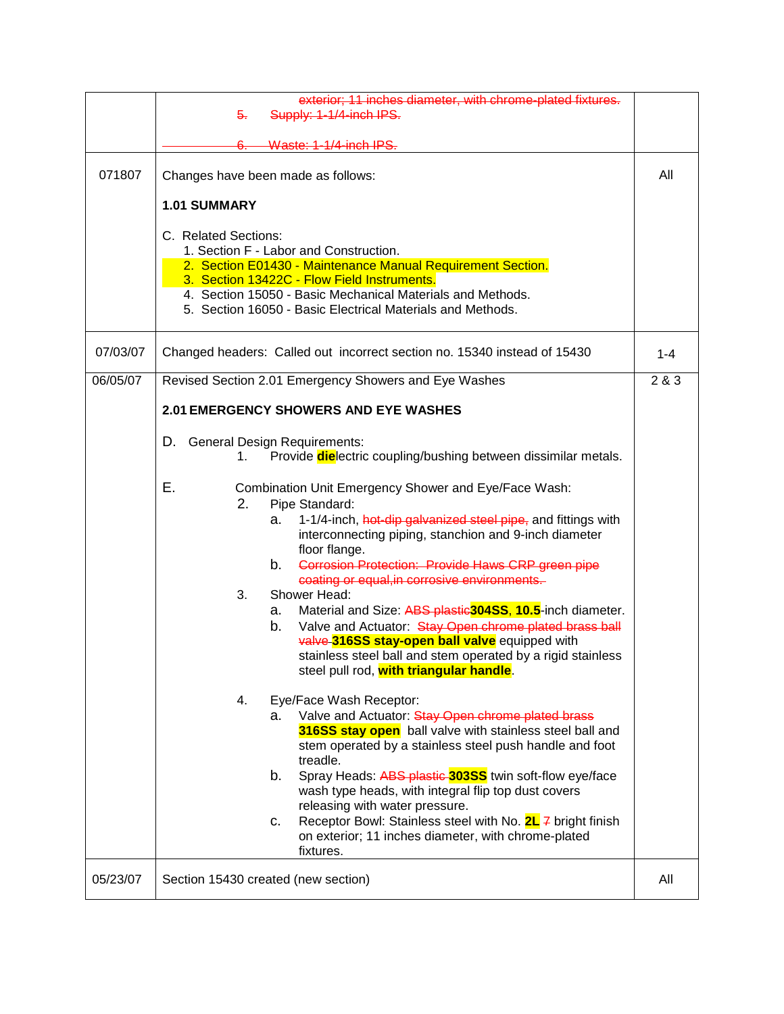|          | exterior; 11 inches diameter, with chrome-plated fixtures.<br>Supply: 1-1/4-inch IPS.<br><del>5.</del>                                                                                                                                                                                                                                                                                                                                                                                                                                                                                                                                                                         |         |  |  |
|----------|--------------------------------------------------------------------------------------------------------------------------------------------------------------------------------------------------------------------------------------------------------------------------------------------------------------------------------------------------------------------------------------------------------------------------------------------------------------------------------------------------------------------------------------------------------------------------------------------------------------------------------------------------------------------------------|---------|--|--|
|          | Waste: 1-1/4-inch IPS.                                                                                                                                                                                                                                                                                                                                                                                                                                                                                                                                                                                                                                                         |         |  |  |
| 071807   | Changes have been made as follows:                                                                                                                                                                                                                                                                                                                                                                                                                                                                                                                                                                                                                                             |         |  |  |
|          | <b>1.01 SUMMARY</b>                                                                                                                                                                                                                                                                                                                                                                                                                                                                                                                                                                                                                                                            |         |  |  |
|          | C. Related Sections:<br>1. Section F - Labor and Construction.<br>2. Section E01430 - Maintenance Manual Requirement Section.<br>3. Section 13422C - Flow Field Instruments.<br>4. Section 15050 - Basic Mechanical Materials and Methods.<br>5. Section 16050 - Basic Electrical Materials and Methods.                                                                                                                                                                                                                                                                                                                                                                       |         |  |  |
| 07/03/07 | Changed headers: Called out incorrect section no. 15340 instead of 15430                                                                                                                                                                                                                                                                                                                                                                                                                                                                                                                                                                                                       | $1 - 4$ |  |  |
| 06/05/07 | Revised Section 2.01 Emergency Showers and Eye Washes                                                                                                                                                                                                                                                                                                                                                                                                                                                                                                                                                                                                                          | 2 & 3   |  |  |
|          | 2.01 EMERGENCY SHOWERS AND EYE WASHES                                                                                                                                                                                                                                                                                                                                                                                                                                                                                                                                                                                                                                          |         |  |  |
|          |                                                                                                                                                                                                                                                                                                                                                                                                                                                                                                                                                                                                                                                                                |         |  |  |
|          | D. General Design Requirements:<br>Provide <b>die</b> lectric coupling/bushing between dissimilar metals.<br>1.                                                                                                                                                                                                                                                                                                                                                                                                                                                                                                                                                                |         |  |  |
|          | Е.<br>Combination Unit Emergency Shower and Eye/Face Wash:<br>2.<br>Pipe Standard:<br>1-1/4-inch, hot-dip galvanized steel pipe, and fittings with<br>а.<br>interconnecting piping, stanchion and 9-inch diameter<br>floor flange.<br>Corrosion Protection: Provide Haws CRP green pipe<br>b.<br>coating or equal, in corrosive environments.<br>3.<br>Shower Head:<br>Material and Size: ABS plastic <sup>304SS</sup> , 10.5-inch diameter.<br>а.<br>Valve and Actuator: Stay Open chrome plated brass ball<br>b.<br>valve 316SS stay-open ball valve equipped with<br>stainless steel ball and stem operated by a rigid stainless<br>steel pull rod, with triangular handle. |         |  |  |
|          | Eye/Face Wash Receptor:<br>4.<br>Valve and Actuator: Stay Open chrome plated brass<br>a.<br>316SS stay open ball valve with stainless steel ball and<br>stem operated by a stainless steel push handle and foot<br>treadle.<br>Spray Heads: ABS plastic 303SS twin soft-flow eye/face<br>b.<br>wash type heads, with integral flip top dust covers<br>releasing with water pressure.<br>Receptor Bowl: Stainless steel with No. 2L 7 bright finish<br>C.<br>on exterior; 11 inches diameter, with chrome-plated<br>fixtures.                                                                                                                                                   |         |  |  |
| 05/23/07 | Section 15430 created (new section)                                                                                                                                                                                                                                                                                                                                                                                                                                                                                                                                                                                                                                            | All     |  |  |